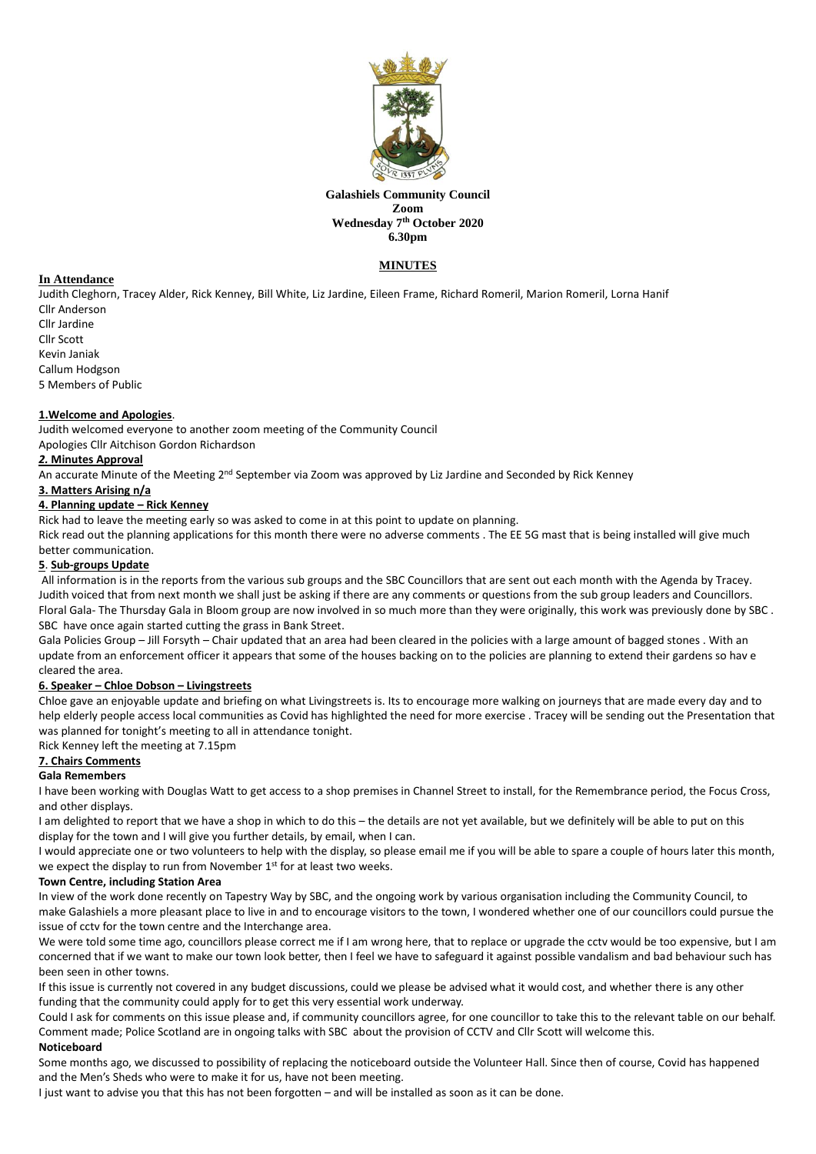

#### **Galashiels Community Council Zoom Wednesday 7 th October 2020 6.30pm**

# **MINUTES**

# **In Attendance**

Judith Cleghorn, Tracey Alder, Rick Kenney, Bill White, Liz Jardine, Eileen Frame, Richard Romeril, Marion Romeril, Lorna Hanif Cllr Anderson

Cllr Jardine Cllr Scott Kevin Janiak Callum Hodgson

5 Members of Public

# **1.Welcome and Apologies**.

Judith welcomed everyone to another zoom meeting of the Community Council

Apologies Cllr Aitchison Gordon Richardson

## *2.* **Minutes Approval**

An accurate Minute of the Meeting 2<sup>nd</sup> September via Zoom was approved by Liz Jardine and Seconded by Rick Kenney

## **3. Matters Arising n/a**

## **4. Planning update – Rick Kenney**

Rick had to leave the meeting early so was asked to come in at this point to update on planning.

Rick read out the planning applications for this month there were no adverse comments . The EE 5G mast that is being installed will give much better communication.

#### **5**. **Sub-groups Update**

All information is in the reports from the various sub groups and the SBC Councillors that are sent out each month with the Agenda by Tracey. Judith voiced that from next month we shall just be asking if there are any comments or questions from the sub group leaders and Councillors. Floral Gala- The Thursday Gala in Bloom group are now involved in so much more than they were originally, this work was previously done by SBC . SBC have once again started cutting the grass in Bank Street.

Gala Policies Group – Jill Forsyth – Chair updated that an area had been cleared in the policies with a large amount of bagged stones . With an update from an enforcement officer it appears that some of the houses backing on to the policies are planning to extend their gardens so hav e cleared the area.

#### **6. Speaker – Chloe Dobson – Livingstreets**

Chloe gave an enjoyable update and briefing on what Livingstreets is. Its to encourage more walking on journeys that are made every day and to help elderly people access local communities as Covid has highlighted the need for more exercise . Tracey will be sending out the Presentation that was planned for tonight's meeting to all in attendance tonight.

Rick Kenney left the meeting at 7.15pm

# **7. Chairs Comments**

# **Gala Remembers**

I have been working with Douglas Watt to get access to a shop premises in Channel Street to install, for the Remembrance period, the Focus Cross, and other displays.

I am delighted to report that we have a shop in which to do this – the details are not yet available, but we definitely will be able to put on this display for the town and I will give you further details, by email, when I can.

I would appreciate one or two volunteers to help with the display, so please email me if you will be able to spare a couple of hours later this month, we expect the display to run from November 1<sup>st</sup> for at least two weeks.

#### **Town Centre, including Station Area**

In view of the work done recently on Tapestry Way by SBC, and the ongoing work by various organisation including the Community Council, to make Galashiels a more pleasant place to live in and to encourage visitors to the town, I wondered whether one of our councillors could pursue the issue of cctv for the town centre and the Interchange area.

We were told some time ago, councillors please correct me if I am wrong here, that to replace or upgrade the cctv would be too expensive, but I am concerned that if we want to make our town look better, then I feel we have to safeguard it against possible vandalism and bad behaviour such has been seen in other towns.

If this issue is currently not covered in any budget discussions, could we please be advised what it would cost, and whether there is any other funding that the community could apply for to get this very essential work underway.

Could I ask for comments on this issue please and, if community councillors agree, for one councillor to take this to the relevant table on our behalf. Comment made; Police Scotland are in ongoing talks with SBC about the provision of CCTV and Cllr Scott will welcome this.

## **Noticeboard**

Some months ago, we discussed to possibility of replacing the noticeboard outside the Volunteer Hall. Since then of course, Covid has happened and the Men's Sheds who were to make it for us, have not been meeting.

I just want to advise you that this has not been forgotten – and will be installed as soon as it can be done.